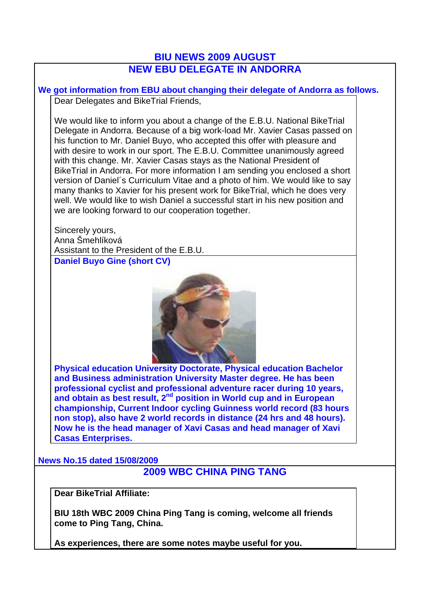## **BIU NEWS 2009 AUGUST NEW EBU DELEGATE IN ANDORRA**

**We got information from EBU about changing their delegate of Andorra as follows.**  Dear Delegates and BikeTrial Friends,

We would like to inform you about a change of the E.B.U. National BikeTrial Delegate in Andorra. Because of a big work-load Mr. Xavier Casas passed on his function to Mr. Daniel Buyo, who accepted this offer with pleasure and with desire to work in our sport. The E.B.U. Committee unanimously agreed with this change. Mr. Xavier Casas stays as the National President of BikeTrial in Andorra. For more information I am sending you enclosed a short version of Daniel´s Curriculum Vitae and a photo of him. We would like to say many thanks to Xavier for his present work for BikeTrial, which he does very well. We would like to wish Daniel a successful start in his new position and we are looking forward to our cooperation together.

Sincerely yours, Anna Šmehlíková Assistant to the President of the E.B.U. **Daniel Buyo Gine (short CV)**



**Physical education University Doctorate, Physical education Bachelor and Business administration University Master degree. He has been professional cyclist and professional adventure racer during 10 years,**  and obtain as best result, 2<sup>nd</sup> position in World cup and in European **championship, Current Indoor cycling Guinness world record (83 hours non stop), also have 2 world records in distance (24 hrs and 48 hours). Now he is the head manager of Xavi Casas and head manager of Xavi Casas Enterprises.**

**News No.15 dated 15/08/2009**

## **2009 WBC CHINA PING TANG**

**Dear BikeTrial Affiliate:** 

**BIU 18th WBC 2009 China Ping Tang is coming, welcome all friends come to Ping Tang, China.**

**As experiences, there are some notes maybe useful for you.**